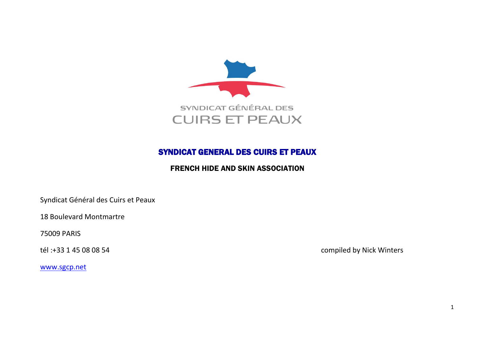

## **SYNDICAT GENERAL DES CUIRS ET PEAUX**

## **FRENCH HIDE AND SKIN ASSOCIATION**

Syndicat Général des Cuirs et Peaux

**18 Boulevard Montmartre** 

**75009 PARIS** 

tél: +33 1 45 08 08 54

compiled by Nick Winters

www.sgcp.net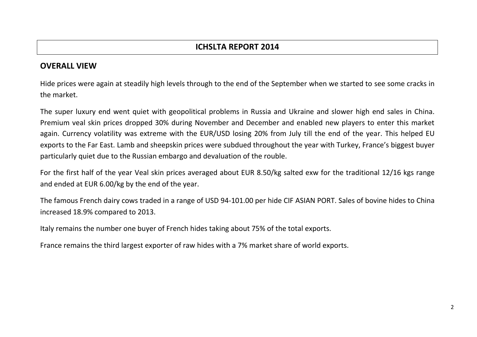## **OVERALL VIEW**

Hide prices were again at steadily high levels through to the end of the September when we started to see some cracks in the market.

The super luxury end went quiet with geopolitical problems in Russia and Ukraine and slower high end sales in China. Premium veal skin prices dropped 30% during November and December and enabled new players to enter this market again. Currency volatility was extreme with the EUR/USD losing 20% from July till the end of the year. This helped EU exports to the Far East. Lamb and sheepskin prices were subdued throughout the year with Turkey, France's biggest buyer particularly quiet due to the Russian embargo and devaluation of the rouble.

For the first half of the year Veal skin prices averaged about EUR 8.50/kg salted exw for the traditional 12/16 kgs range and ended at EUR 6.00/kg by the end of the year.

The famous French dairy cows traded in a range of USD 94-101.00 per hide CIF ASIAN PORT. Sales of bovine hides to China increased 18.9% compared to 2013.

Italy remains the number one buyer of French hides taking about 75% of the total exports.

France remains the third largest exporter of raw hides with a 7% market share of world exports.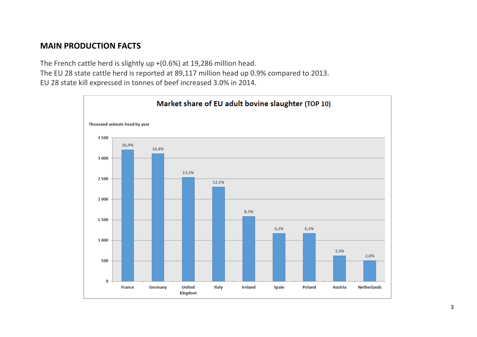## **MAIN PRODUCTION FACTS**

The French cattle herd is slightly up +(0.6%) at 19,286 million head. The EU 28 state cattle herd is reported at 89,117 million head up 0.9% compared to 2013. EU 28 state kill expressed in tonnes of beef increased 3.0% in 2014.

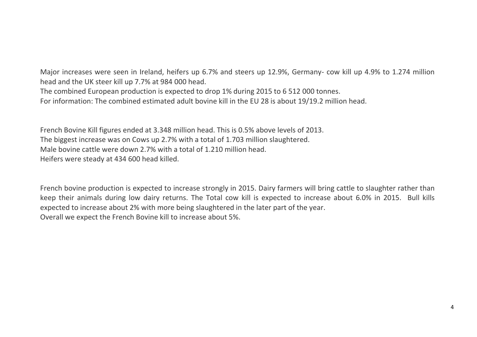Major increases were seen in Ireland, heifers up 6.7% and steers up 12.9%, Germany- cow kill up 4.9% to 1.274 million head and the UK steer kill up 7.7% at 984 000 head. The combined European production is expected to drop 1% during 2015 to 6 512 000 tonnes.

For information: The combined estimated adult bovine kill in the EU 28 is about 19/19.2 million head.

French Bovine Kill figures ended at 3.348 million head. This is 0.5% above levels of 2013. The biggest increase was on Cows up 2.7% with a total of 1.703 million slaughtered. Male bovine cattle were down 2.7% with a total of 1.210 million head. Heifers were steady at 434 600 head killed.

French bovine production is expected to increase strongly in 2015. Dairy farmers will bring cattle to slaughter rather than keep their animals during low dairy returns. The Total cow kill is expected to increase about 6.0% in 2015. Bull kills expected to increase about 2% with more being slaughtered in the later part of the year. Overall we expect the French Bovine kill to increase about 5%.